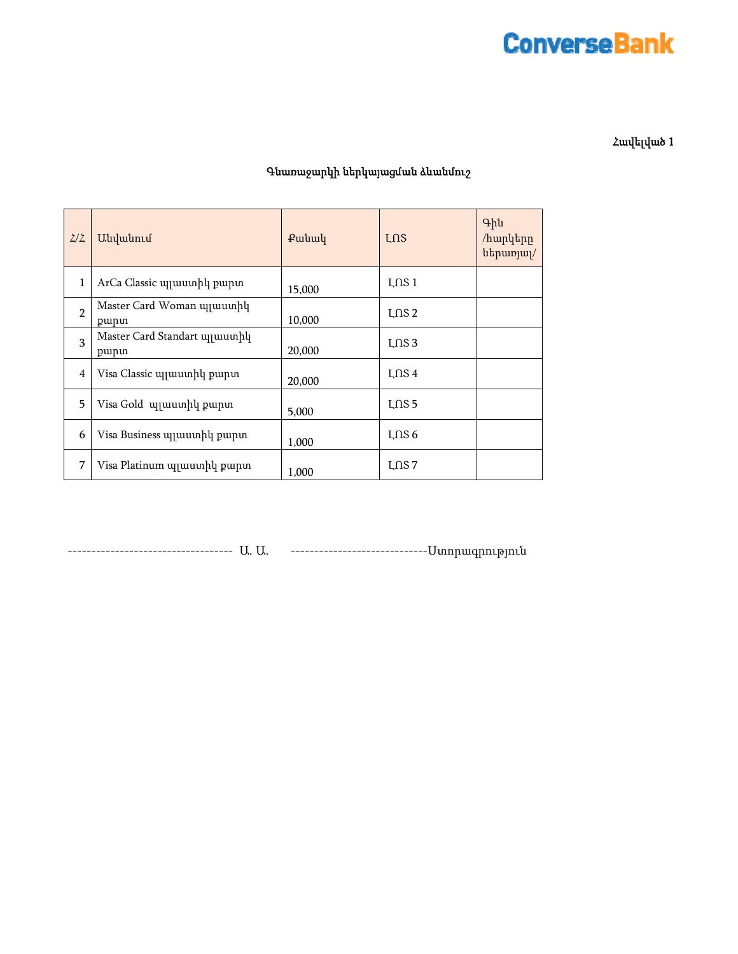# **ConverseBank**

Հավելված 1

#### Գնառաջարկի ներկայացման ձևանմուշ

| 2/2            | Անվանում                              | Putuul | LNS      | Գին<br>/hwpytpp<br>uthumjui/ |
|----------------|---------------------------------------|--------|----------|------------------------------|
| 1              | ArCa Classic պլաստիկ քարտ             | 15,000 | $L$ ns 1 |                              |
| $\mathfrak{p}$ | Master Card Woman ujjuuunhy<br>punn   | 10,000 | $L$ ns 2 |                              |
| 3              | Master Card Standart unuuunhu<br>punn | 20,000 | $L$ ns 3 |                              |
| $\overline{4}$ | Visa Classic պլաստիկ քարտ             | 20,000 | $L$ ns 4 |                              |
| 5              | Visa Gold <i>u</i> quuunhu punun      | 5,000  | $L$ ns 5 |                              |
| 6              | Visa Business պլաստիկ քարտ            | 1,000  | $L$ ns 6 |                              |
| 7              | Visa Platinum պլաստիկ քարտ            | 1,000  | $L$ ns 7 |                              |

----------------------------------- Ա. Ա. -----------------------------Ստորագրություն